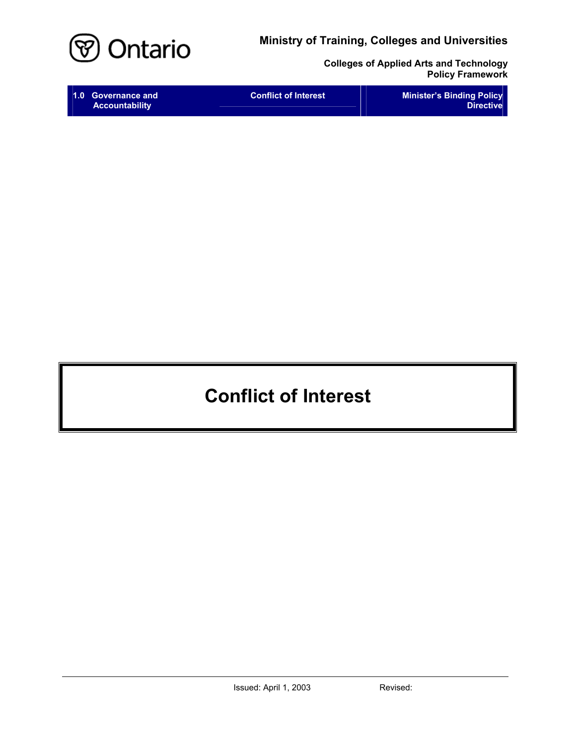

**Colleges of Applied Arts and Technology Policy Framework** 

# **Conflict of Interest**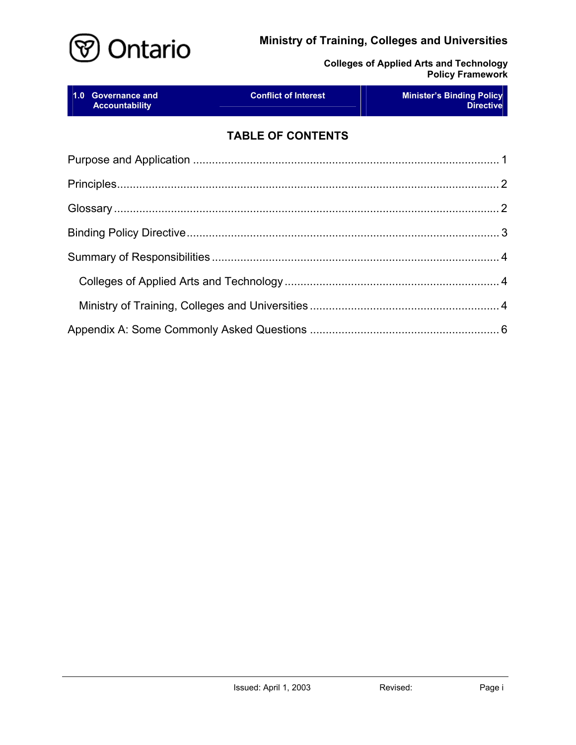

**Colleges of Applied Arts and Technology Policy Framework** 

|  | 1.0 Governance and<br><b>Accountability</b> | <b>Conflict of Interest</b> | <u>a sa Baratan San</u><br><b>Minister's Binding Policy</b><br><b>Directive</b> |
|--|---------------------------------------------|-----------------------------|---------------------------------------------------------------------------------|
|  |                                             | <b>TABLE OF CONTENTS</b>    |                                                                                 |
|  |                                             |                             |                                                                                 |
|  |                                             |                             |                                                                                 |
|  |                                             |                             |                                                                                 |
|  |                                             |                             |                                                                                 |
|  |                                             |                             |                                                                                 |
|  |                                             |                             |                                                                                 |
|  |                                             |                             |                                                                                 |
|  |                                             |                             |                                                                                 |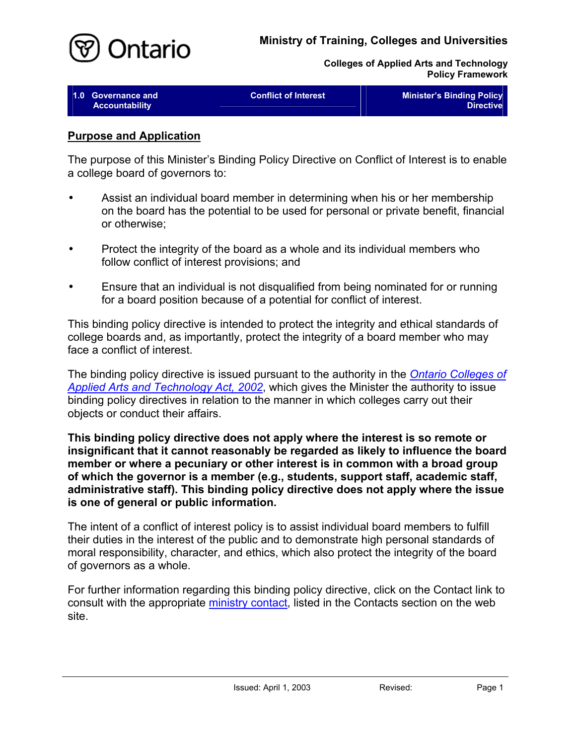

<span id="page-2-0"></span>

| 1.0 Governance and    | <b>Conflict of Interest</b> | <b>Minister's Binding Policy</b> |
|-----------------------|-----------------------------|----------------------------------|
| <b>Accountability</b> |                             | <b>Directive</b>                 |

#### **Purpose and Application**

The purpose of this Minister's Binding Policy Directive on Conflict of Interest is to enable a college board of governors to:

- Assist an individual board member in determining when his or her membership on the board has the potential to be used for personal or private benefit, financial or otherwise; •
- Protect the integrity of the board as a whole and its individual members who follow conflict of interest provisions; and
- Ensure that an individual is not disqualified from being nominated for or running for a board position because of a potential for conflict of interest.

This binding policy directive is intended to protect the integrity and ethical standards of college boards and, as importantly, protect the integrity of a board member who may face a conflict of interest.

The binding policy directive is issued pursuant to the authority in the *[Ontario Colleges of](http://www.e-laws.gov.on.ca/html/statutes/english/elaws_statutes_02o08f_e.htm)  [Applied Arts and Technology Act, 2002](http://www.e-laws.gov.on.ca/html/statutes/english/elaws_statutes_02o08f_e.htm)*, which gives the Minister the authority to issue binding policy directives in relation to the manner in which colleges carry out their objects or conduct their affairs.

**This binding policy directive does not apply where the interest is so remote or insignificant that it cannot reasonably be regarded as likely to influence the board member or where a pecuniary or other interest is in common with a broad group of which the governor is a member (e.g., students, support staff, academic staff, administrative staff). This binding policy directive does not apply where the issue is one of general or public information.** 

The intent of a conflict of interest policy is to assist individual board members to fulfill their duties in the interest of the public and to demonstrate high personal standards of moral responsibility, character, and ethics, which also protect the integrity of the board of governors as a whole.

For further information regarding this binding policy directive, click on the Contact link to consult with the appropriate [ministry contact,](http://caat.edu.gov.on.ca/HTMLpages/Contacts_Eng.html#BoardMember_ConflictOfInterest) listed in the Contacts section on the web site.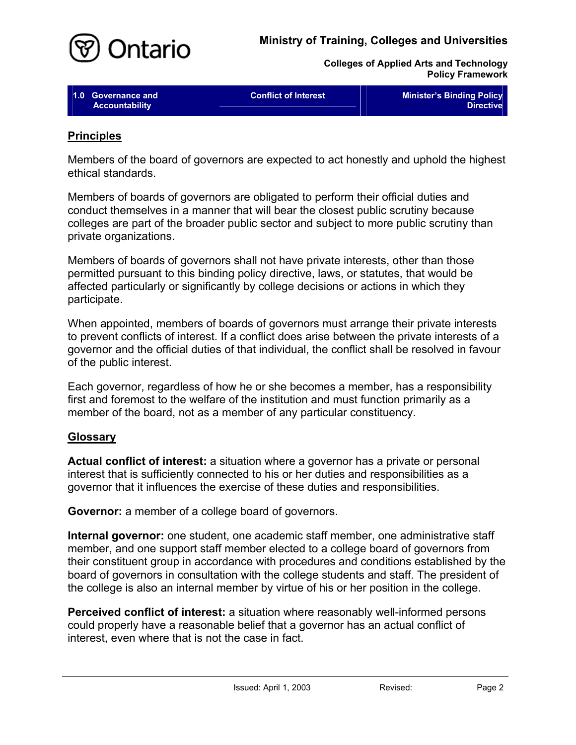<span id="page-3-0"></span>

| 1.0 Governance and    | <b>Conflict of Interest</b> | <b>Minister's Binding Policy</b> |
|-----------------------|-----------------------------|----------------------------------|
|                       |                             |                                  |
| <b>Accountability</b> |                             | Directive                        |

#### **Principles**

Members of the board of governors are expected to act honestly and uphold the highest ethical standards.

Members of boards of governors are obligated to perform their official duties and conduct themselves in a manner that will bear the closest public scrutiny because colleges are part of the broader public sector and subject to more public scrutiny than private organizations.

Members of boards of governors shall not have private interests, other than those permitted pursuant to this binding policy directive, laws, or statutes, that would be affected particularly or significantly by college decisions or actions in which they participate.

When appointed, members of boards of governors must arrange their private interests to prevent conflicts of interest. If a conflict does arise between the private interests of a governor and the official duties of that individual, the conflict shall be resolved in favour of the public interest.

Each governor, regardless of how he or she becomes a member, has a responsibility first and foremost to the welfare of the institution and must function primarily as a member of the board, not as a member of any particular constituency.

#### **Glossary**

**Actual conflict of interest:** a situation where a governor has a private or personal interest that is sufficiently connected to his or her duties and responsibilities as a governor that it influences the exercise of these duties and responsibilities.

**Governor:** a member of a college board of governors.

**Internal governor:** one student, one academic staff member, one administrative staff member, and one support staff member elected to a college board of governors from their constituent group in accordance with procedures and conditions established by the board of governors in consultation with the college students and staff. The president of the college is also an internal member by virtue of his or her position in the college.

**Perceived conflict of interest:** a situation where reasonably well-informed persons could properly have a reasonable belief that a governor has an actual conflict of interest, even where that is not the case in fact.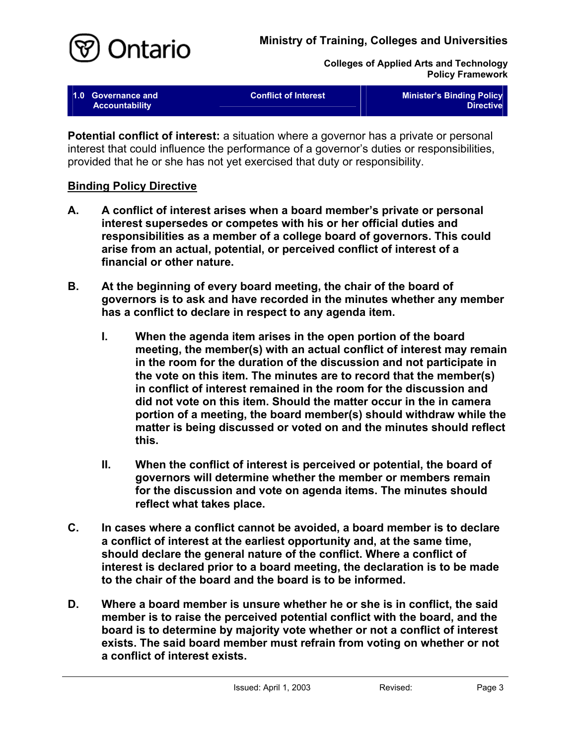

<span id="page-4-0"></span>

| 1.0 Governance and<br><b>Accountability</b> | <b>Conflict of Interest</b> | <b>Minister's Binding Policy</b><br>Directive |
|---------------------------------------------|-----------------------------|-----------------------------------------------|
|                                             |                             |                                               |

**Potential conflict of interest:** a situation where a governor has a private or personal interest that could influence the performance of a governor's duties or responsibilities, provided that he or she has not yet exercised that duty or responsibility.

#### **Binding Policy Directive**

- **A. A conflict of interest arises when a board member's private or personal interest supersedes or competes with his or her official duties and responsibilities as a member of a college board of governors. This could arise from an actual, potential, or perceived conflict of interest of a financial or other nature.**
- **B. At the beginning of every board meeting, the chair of the board of governors is to ask and have recorded in the minutes whether any member has a conflict to declare in respect to any agenda item.** 
	- **I. When the agenda item arises in the open portion of the board meeting, the member(s) with an actual conflict of interest may remain in the room for the duration of the discussion and not participate in the vote on this item. The minutes are to record that the member(s) in conflict of interest remained in the room for the discussion and did not vote on this item. Should the matter occur in the in camera portion of a meeting, the board member(s) should withdraw while the matter is being discussed or voted on and the minutes should reflect this.**
	- **II. When the conflict of interest is perceived or potential, the board of governors will determine whether the member or members remain for the discussion and vote on agenda items. The minutes should reflect what takes place.**
- **C. In cases where a conflict cannot be avoided, a board member is to declare a conflict of interest at the earliest opportunity and, at the same time, should declare the general nature of the conflict. Where a conflict of interest is declared prior to a board meeting, the declaration is to be made to the chair of the board and the board is to be informed.**
- **D. Where a board member is unsure whether he or she is in conflict, the said member is to raise the perceived potential conflict with the board, and the board is to determine by majority vote whether or not a conflict of interest exists. The said board member must refrain from voting on whether or not a conflict of interest exists.**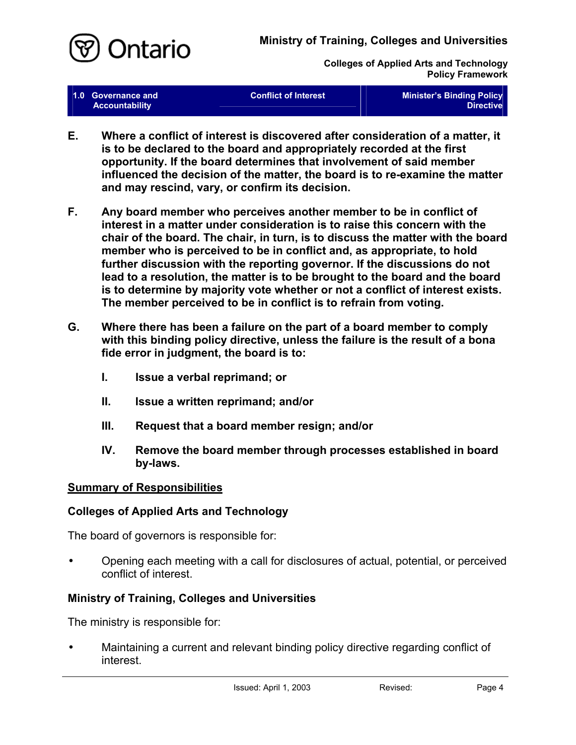<span id="page-5-0"></span>

| 1.0 Governance and<br><b>Accountability</b> | <b>Conflict of Interest</b> | <b>Minister's Binding Policy</b><br><b>Directive</b> |
|---------------------------------------------|-----------------------------|------------------------------------------------------|
|                                             |                             |                                                      |

- **E. Where a conflict of interest is discovered after consideration of a matter, it is to be declared to the board and appropriately recorded at the first opportunity. If the board determines that involvement of said member influenced the decision of the matter, the board is to re-examine the matter and may rescind, vary, or confirm its decision.**
- **F. Any board member who perceives another member to be in conflict of interest in a matter under consideration is to raise this concern with the chair of the board. The chair, in turn, is to discuss the matter with the board member who is perceived to be in conflict and, as appropriate, to hold further discussion with the reporting governor. If the discussions do not lead to a resolution, the matter is to be brought to the board and the board is to determine by majority vote whether or not a conflict of interest exists. The member perceived to be in conflict is to refrain from voting.**
- **G. Where there has been a failure on the part of a board member to comply with this binding policy directive, unless the failure is the result of a bona fide error in judgment, the board is to:** 
	- **I. Issue a verbal reprimand; or**
	- **II. Issue a written reprimand; and/or**
	- **III. Request that a board member resign; and/or**
	- **IV. Remove the board member through processes established in board by-laws.**

#### **Summary of Responsibilities**

# **Colleges of Applied Arts and Technology**

The board of governors is responsible for:

Opening each meeting with a call for disclosures of actual, potential, or perceived conflict of interest. •

# **Ministry of Training, Colleges and Universities**

The ministry is responsible for:

• Maintaining a current and relevant binding policy directive regarding conflict of interest.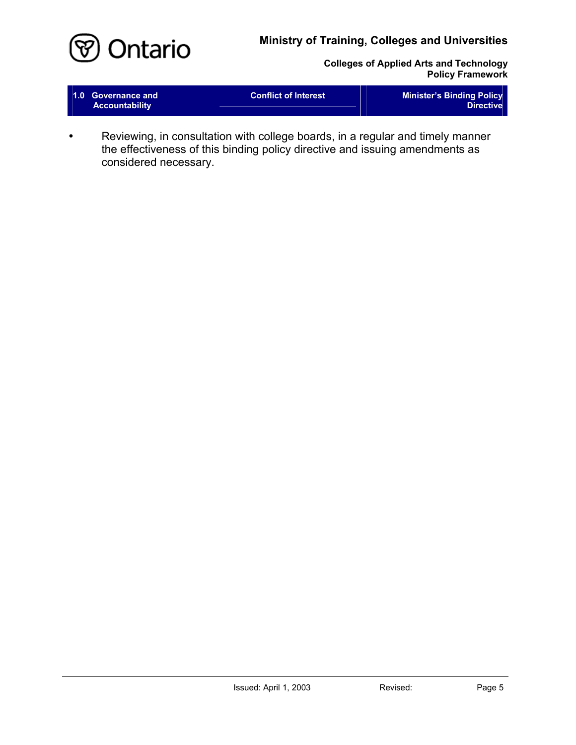

**Colleges of Applied Arts and Technology Policy Framework** 

| <b>Accountability</b> | 1.0 Governance and | <b>Conflict of Interest</b> | <b>Minister's Binding Policy</b><br><b>Directive</b> |
|-----------------------|--------------------|-----------------------------|------------------------------------------------------|
|-----------------------|--------------------|-----------------------------|------------------------------------------------------|

• Reviewing, in consultation with college boards, in a regular and timely manner the effectiveness of this binding policy directive and issuing amendments as considered necessary.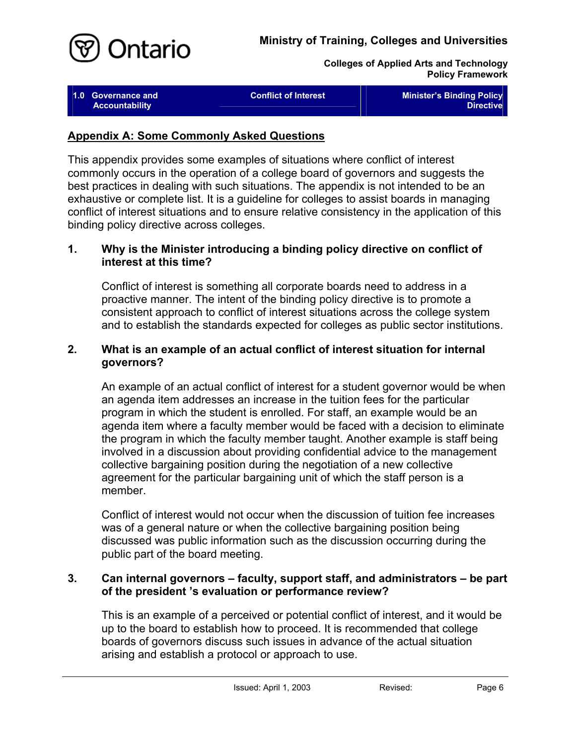<span id="page-7-0"></span>

| 1.0 Governance and<br><b>Accountability</b> | <b>Conflict of Interest</b> | <b>Minister's Binding Policy</b><br><b>Directive</b> |
|---------------------------------------------|-----------------------------|------------------------------------------------------|
|                                             |                             |                                                      |

#### **Appendix A: Some Commonly Asked Questions**

This appendix provides some examples of situations where conflict of interest commonly occurs in the operation of a college board of governors and suggests the best practices in dealing with such situations. The appendix is not intended to be an exhaustive or complete list. It is a guideline for colleges to assist boards in managing conflict of interest situations and to ensure relative consistency in the application of this binding policy directive across colleges.

#### **1. Why is the Minister introducing a binding policy directive on conflict of interest at this time?**

Conflict of interest is something all corporate boards need to address in a proactive manner. The intent of the binding policy directive is to promote a consistent approach to conflict of interest situations across the college system and to establish the standards expected for colleges as public sector institutions.

#### **2. What is an example of an actual conflict of interest situation for internal governors?**

An example of an actual conflict of interest for a student governor would be when an agenda item addresses an increase in the tuition fees for the particular program in which the student is enrolled. For staff, an example would be an agenda item where a faculty member would be faced with a decision to eliminate the program in which the faculty member taught. Another example is staff being involved in a discussion about providing confidential advice to the management collective bargaining position during the negotiation of a new collective agreement for the particular bargaining unit of which the staff person is a member.

Conflict of interest would not occur when the discussion of tuition fee increases was of a general nature or when the collective bargaining position being discussed was public information such as the discussion occurring during the public part of the board meeting.

#### **3. Can internal governors – faculty, support staff, and administrators – be part of the president 's evaluation or performance review?**

This is an example of a perceived or potential conflict of interest, and it would be up to the board to establish how to proceed. It is recommended that college boards of governors discuss such issues in advance of the actual situation arising and establish a protocol or approach to use.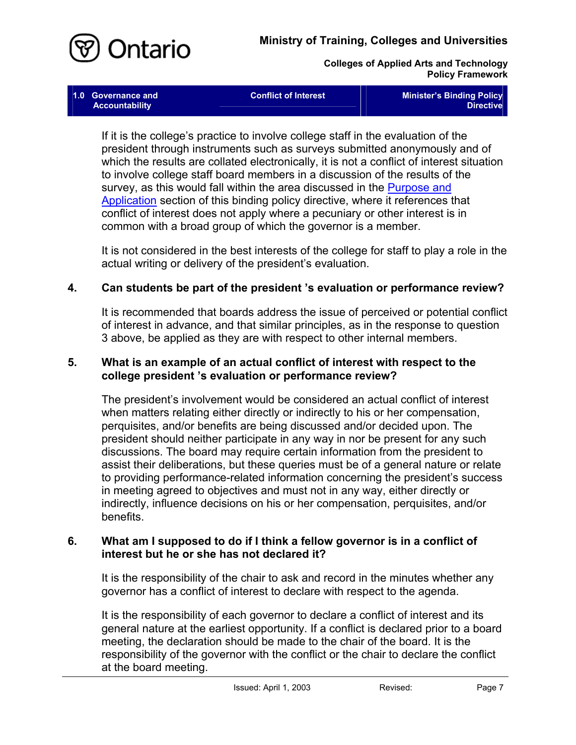

**1.0 Governance and** 

**Colleges of Applied Arts and Technology Policy Framework** 

| Governance and | Conflict of Interest | <b>Minister's Binding Policy</b> |
|----------------|----------------------|----------------------------------|
| Accountability |                      | <b>Directive</b>                 |

If it is the college's practice to involve college staff in the evaluation of the president through instruments such as surveys submitted anonymously and of which the results are collated electronically, it is not a conflict of interest situation to involve college staff board members in a discussion of the results of the survey, as this would fall within the area discussed in the Purpose and [Application](#page-2-0) section of this binding policy directive, where it references that conflict of interest does not apply where a pecuniary or other interest is in common with a broad group of which the governor is a member.

It is not considered in the best interests of the college for staff to play a role in the actual writing or delivery of the president's evaluation.

#### **4. Can students be part of the president 's evaluation or performance review?**

It is recommended that boards address the issue of perceived or potential conflict of interest in advance, and that similar principles, as in the response to question 3 above, be applied as they are with respect to other internal members.

#### **5. What is an example of an actual conflict of interest with respect to the college president 's evaluation or performance review?**

The president's involvement would be considered an actual conflict of interest when matters relating either directly or indirectly to his or her compensation, perquisites, and/or benefits are being discussed and/or decided upon. The president should neither participate in any way in nor be present for any such discussions. The board may require certain information from the president to assist their deliberations, but these queries must be of a general nature or relate to providing performance-related information concerning the president's success in meeting agreed to objectives and must not in any way, either directly or indirectly, influence decisions on his or her compensation, perquisites, and/or benefits.

#### **6. What am I supposed to do if I think a fellow governor is in a conflict of interest but he or she has not declared it?**

It is the responsibility of the chair to ask and record in the minutes whether any governor has a conflict of interest to declare with respect to the agenda.

It is the responsibility of each governor to declare a conflict of interest and its general nature at the earliest opportunity. If a conflict is declared prior to a board meeting, the declaration should be made to the chair of the board. It is the responsibility of the governor with the conflict or the chair to declare the conflict at the board meeting.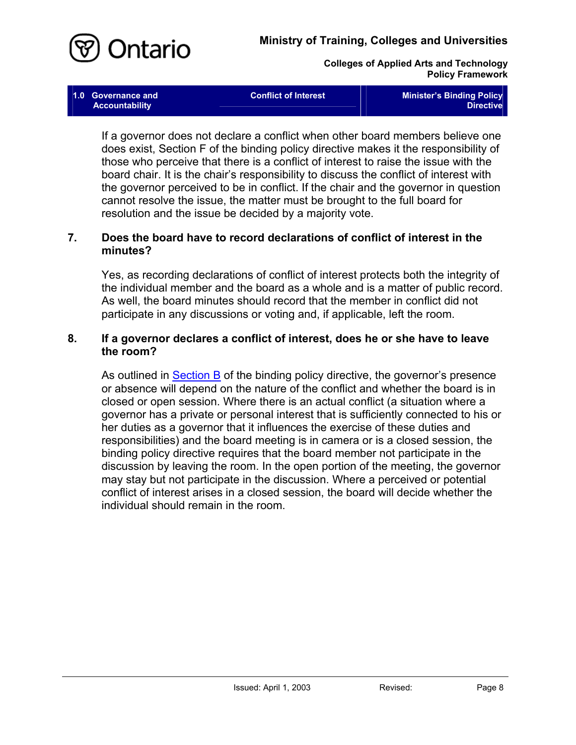

If a governor does not declare a conflict when other board members believe one does exist, Section F of the binding policy directive makes it the responsibility of those who perceive that there is a conflict of interest to raise the issue with the board chair. It is the chair's responsibility to discuss the conflict of interest with the governor perceived to be in conflict. If the chair and the governor in question cannot resolve the issue, the matter must be brought to the full board for resolution and the issue be decided by a majority vote.

#### **7. Does the board have to record declarations of conflict of interest in the minutes?**

Yes, as recording declarations of conflict of interest protects both the integrity of the individual member and the board as a whole and is a matter of public record. As well, the board minutes should record that the member in conflict did not participate in any discussions or voting and, if applicable, left the room.

#### **8. If a governor declares a conflict of interest, does he or she have to leave the room?**

As outlined in **Section B** of the binding policy directive, the governor's presence or absence will depend on the nature of the conflict and whether the board is in closed or open session. Where there is an actual conflict (a situation where a governor has a private or personal interest that is sufficiently connected to his or her duties as a governor that it influences the exercise of these duties and responsibilities) and the board meeting is in camera or is a closed session, the binding policy directive requires that the board member not participate in the discussion by leaving the room. In the open portion of the meeting, the governor may stay but not participate in the discussion. Where a perceived or potential conflict of interest arises in a closed session, the board will decide whether the individual should remain in the room.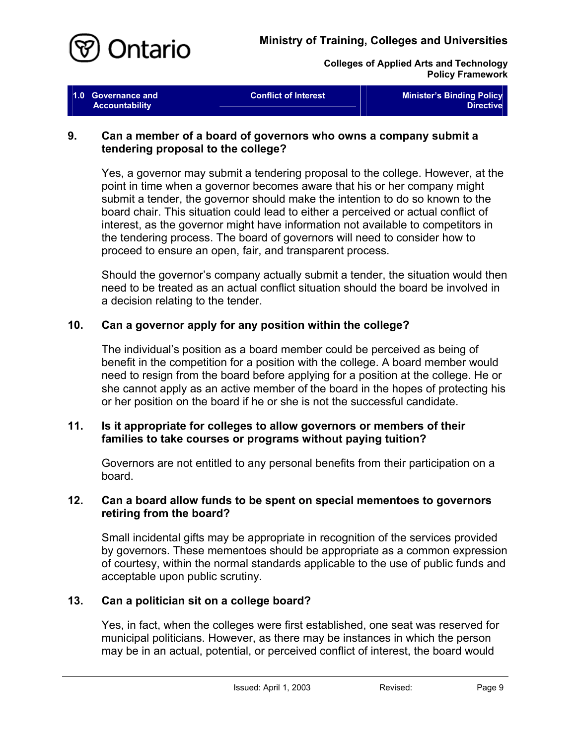

| 1.0 Governance and<br><b>Accountability</b> | <b>Conflict of Interest</b> | <b>Minister's Binding Policy</b><br><b>Directive</b> |
|---------------------------------------------|-----------------------------|------------------------------------------------------|
|                                             |                             |                                                      |

#### **9. Can a member of a board of governors who owns a company submit a tendering proposal to the college?**

Yes, a governor may submit a tendering proposal to the college. However, at the point in time when a governor becomes aware that his or her company might submit a tender, the governor should make the intention to do so known to the board chair. This situation could lead to either a perceived or actual conflict of interest, as the governor might have information not available to competitors in the tendering process. The board of governors will need to consider how to proceed to ensure an open, fair, and transparent process.

Should the governor's company actually submit a tender, the situation would then need to be treated as an actual conflict situation should the board be involved in a decision relating to the tender.

#### **10. Can a governor apply for any position within the college?**

The individual's position as a board member could be perceived as being of benefit in the competition for a position with the college. A board member would need to resign from the board before applying for a position at the college. He or she cannot apply as an active member of the board in the hopes of protecting his or her position on the board if he or she is not the successful candidate.

#### **11. Is it appropriate for colleges to allow governors or members of their families to take courses or programs without paying tuition?**

Governors are not entitled to any personal benefits from their participation on a board.

#### **12. Can a board allow funds to be spent on special mementoes to governors retiring from the board?**

Small incidental gifts may be appropriate in recognition of the services provided by governors. These mementoes should be appropriate as a common expression of courtesy, within the normal standards applicable to the use of public funds and acceptable upon public scrutiny.

# **13. Can a politician sit on a college board?**

Yes, in fact, when the colleges were first established, one seat was reserved for municipal politicians. However, as there may be instances in which the person may be in an actual, potential, or perceived conflict of interest, the board would